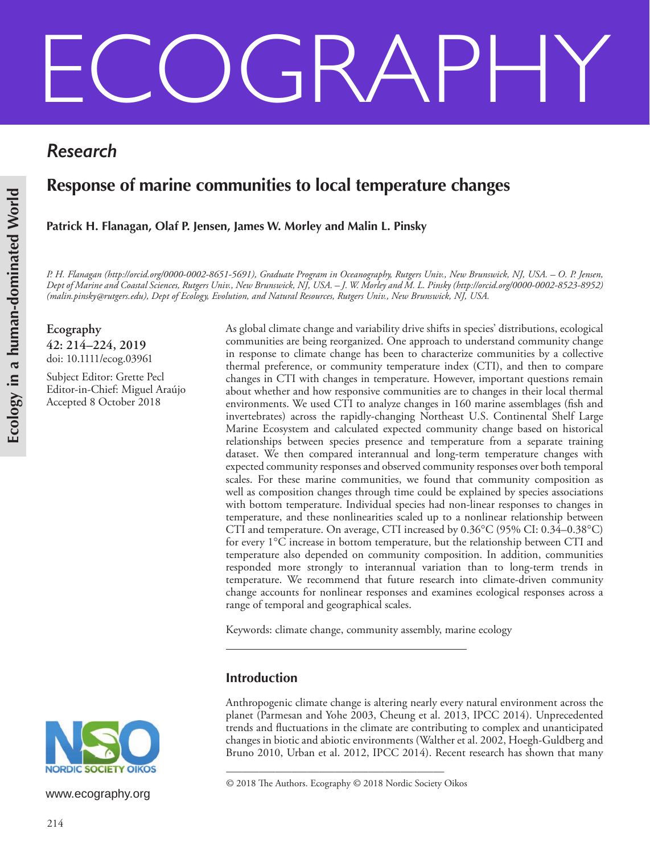# ECOGRAPHY

*Research*

# **Response of marine communities to local temperature changes**

**Patrick H. Flanagan, Olaf P. Jensen, James W. Morley and Malin L. Pinsky**

*P. H. Flanagan (http://orcid.org/0000-0002-8651-5691), Graduate Program in Oceanography, Rutgers Univ., New Brunswick, NJ, USA. – O. P. Jensen, Dept of Marine and Coastal Sciences, Rutgers Univ., New Brunswick, NJ, USA. – J. W. Morley and M. L. Pinsky (http://orcid.org/0000-0002-8523-8952) (malin.pinsky@rutgers.edu), Dept of Ecology, Evolution, and Natural Resources, Rutgers Univ., New Brunswick, NJ, USA.*

**Ecography 42: 214–224, 2019** doi: 10.1111/ecog.03961

Subject Editor: Grette Pecl Editor-in-Chief: Miguel Araújo Accepted 8 October 2018

As global climate change and variability drive shifts in species' distributions, ecological communities are being reorganized. One approach to understand community change in response to climate change has been to characterize communities by a collective thermal preference, or community temperature index (CTI), and then to compare changes in CTI with changes in temperature. However, important questions remain about whether and how responsive communities are to changes in their local thermal environments. We used CTI to analyze changes in 160 marine assemblages (fish and invertebrates) across the rapidly-changing Northeast U.S. Continental Shelf Large Marine Ecosystem and calculated expected community change based on historical relationships between species presence and temperature from a separate training dataset. We then compared interannual and long-term temperature changes with expected community responses and observed community responses over both temporal scales. For these marine communities, we found that community composition as well as composition changes through time could be explained by species associations with bottom temperature. Individual species had non-linear responses to changes in temperature, and these nonlinearities scaled up to a nonlinear relationship between CTI and temperature. On average, CTI increased by 0.36°C (95% CI: 0.34–0.38°C) for every  $1^{\circ}$ C increase in bottom temperature, but the relationship between CTI and temperature also depended on community composition. In addition, communities responded more strongly to interannual variation than to long-term trends in temperature. We recommend that future research into climate-driven community change accounts for nonlinear responses and examines ecological responses across a range of temporal and geographical scales.

Keywords: climate change, community assembly, marine ecology

# **Introduction**

Anthropogenic climate change is altering nearly every natural environment across the planet (Parmesan and Yohe 2003, Cheung et al. 2013, IPCC 2014). Unprecedented trends and fluctuations in the climate are contributing to complex and unanticipated changes in biotic and abiotic environments (Walther et al. 2002, Hoegh-Guldberg and Bruno 2010, Urban et al. 2012, IPCC 2014). Recent research has shown that many



www.ecography.org

<sup>––––––––––––––––––––––––––––––––––––––––</sup> © 2018 The Authors. Ecography © 2018 Nordic Society Oikos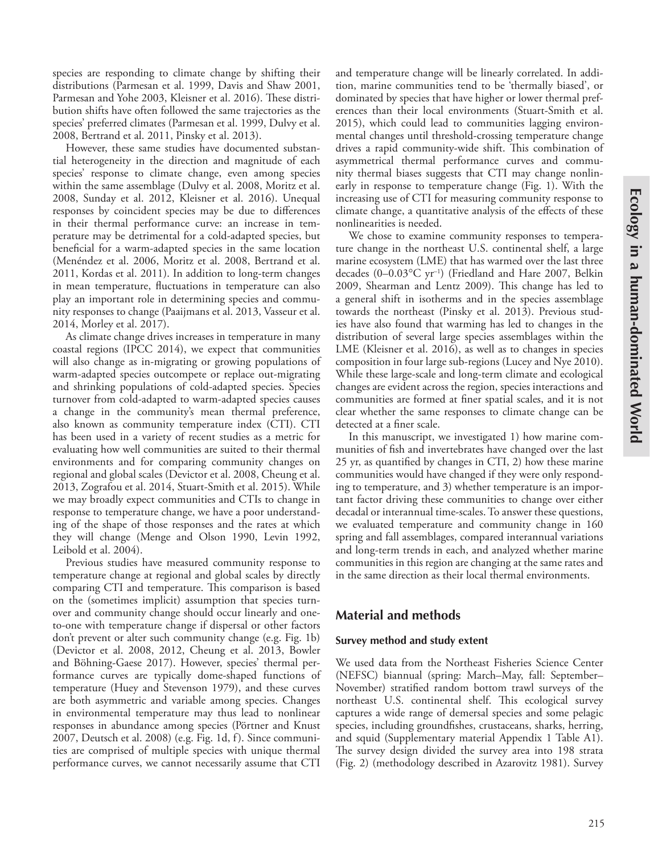species are responding to climate change by shifting their distributions (Parmesan et al. 1999, Davis and Shaw 2001, Parmesan and Yohe 2003, Kleisner et al. 2016). These distribution shifts have often followed the same trajectories as the species' preferred climates (Parmesan et al. 1999, Dulvy et al. 2008, Bertrand et al. 2011, Pinsky et al. 2013).

However, these same studies have documented substantial heterogeneity in the direction and magnitude of each species' response to climate change, even among species within the same assemblage (Dulvy et al. 2008, Moritz et al. 2008, Sunday et al. 2012, Kleisner et al. 2016). Unequal responses by coincident species may be due to differences in their thermal performance curve: an increase in temperature may be detrimental for a cold-adapted species, but beneficial for a warm-adapted species in the same location (Menéndez et al. 2006, Moritz et al. 2008, Bertrand et al. 2011, Kordas et al. 2011). In addition to long-term changes in mean temperature, fluctuations in temperature can also play an important role in determining species and community responses to change (Paaijmans et al. 2013, Vasseur et al. 2014, Morley et al. 2017).

As climate change drives increases in temperature in many coastal regions (IPCC 2014), we expect that communities will also change as in-migrating or growing populations of warm-adapted species outcompete or replace out-migrating and shrinking populations of cold-adapted species. Species turnover from cold-adapted to warm-adapted species causes a change in the community's mean thermal preference, also known as community temperature index (CTI). CTI has been used in a variety of recent studies as a metric for evaluating how well communities are suited to their thermal environments and for comparing community changes on regional and global scales (Devictor et al. 2008, Cheung et al. 2013, Zografou et al. 2014, Stuart-Smith et al. 2015). While we may broadly expect communities and CTIs to change in response to temperature change, we have a poor understanding of the shape of those responses and the rates at which they will change (Menge and Olson 1990, Levin 1992, Leibold et al. 2004).

Previous studies have measured community response to temperature change at regional and global scales by directly comparing CTI and temperature. This comparison is based on the (sometimes implicit) assumption that species turnover and community change should occur linearly and oneto-one with temperature change if dispersal or other factors don't prevent or alter such community change (e.g. Fig. 1b) (Devictor et al. 2008, 2012, Cheung et al. 2013, Bowler and Böhning-Gaese 2017). However, species' thermal performance curves are typically dome-shaped functions of temperature (Huey and Stevenson 1979), and these curves are both asymmetric and variable among species. Changes in environmental temperature may thus lead to nonlinear responses in abundance among species (Pörtner and Knust 2007, Deutsch et al. 2008) (e.g. Fig. 1d, f). Since communities are comprised of multiple species with unique thermal performance curves, we cannot necessarily assume that CTI

and temperature change will be linearly correlated. In addition, marine communities tend to be 'thermally biased', or dominated by species that have higher or lower thermal preferences than their local environments (Stuart-Smith et al. 2015), which could lead to communities lagging environmental changes until threshold-crossing temperature change drives a rapid community-wide shift. This combination of asymmetrical thermal performance curves and community thermal biases suggests that CTI may change nonlinearly in response to temperature change (Fig. 1). With the increasing use of CTI for measuring community response to climate change, a quantitative analysis of the effects of these nonlinearities is needed.

We chose to examine community responses to temperature change in the northeast U.S. continental shelf, a large marine ecosystem (LME) that has warmed over the last three decades (0–0.03°C yr–1) (Friedland and Hare 2007, Belkin 2009, Shearman and Lentz 2009). This change has led to a general shift in isotherms and in the species assemblage towards the northeast (Pinsky et al. 2013). Previous studies have also found that warming has led to changes in the distribution of several large species assemblages within the LME (Kleisner et al. 2016), as well as to changes in species composition in four large sub-regions (Lucey and Nye 2010). While these large-scale and long-term climate and ecological changes are evident across the region, species interactions and communities are formed at finer spatial scales, and it is not clear whether the same responses to climate change can be detected at a finer scale.

In this manuscript, we investigated 1) how marine communities of fish and invertebrates have changed over the last 25 yr, as quantified by changes in CTI, 2) how these marine communities would have changed if they were only responding to temperature, and 3) whether temperature is an important factor driving these communities to change over either decadal or interannual time-scales. To answer these questions, we evaluated temperature and community change in 160 spring and fall assemblages, compared interannual variations and long-term trends in each, and analyzed whether marine communities in this region are changing at the same rates and in the same direction as their local thermal environments.

## **Material and methods**

#### **Survey method and study extent**

We used data from the Northeast Fisheries Science Center (NEFSC) biannual (spring: March–May, fall: September– November) stratified random bottom trawl surveys of the northeast U.S. continental shelf. This ecological survey captures a wide range of demersal species and some pelagic species, including groundfishes, crustaceans, sharks, herring, and squid (Supplementary material Appendix 1 Table A1). The survey design divided the survey area into 198 strata (Fig. 2) (methodology described in Azarovitz 1981). Survey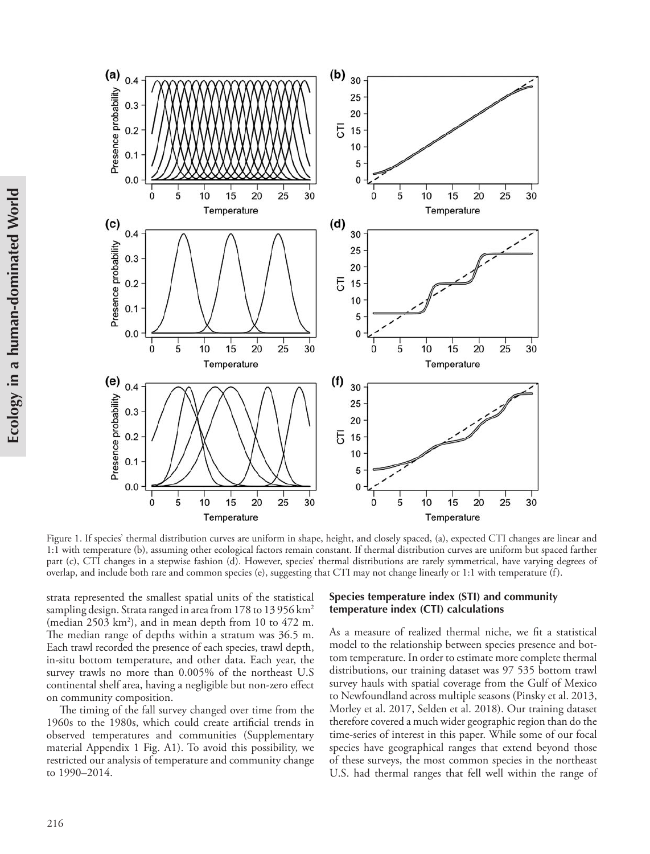

Figure 1. If species' thermal distribution curves are uniform in shape, height, and closely spaced, (a), expected CTI changes are linear and 1:1 with temperature (b), assuming other ecological factors remain constant. If thermal distribution curves are uniform but spaced farther part (c), CTI changes in a stepwise fashion (d). However, species' thermal distributions are rarely symmetrical, have varying degrees of overlap, and include both rare and common species (e), suggesting that CTI may not change linearly or 1:1 with temperature (f).

strata represented the smallest spatial units of the statistical sampling design. Strata ranged in area from 178 to 13 956 km<sup>2</sup> (median 2503 km<sup>2</sup>), and in mean depth from 10 to 472 m. The median range of depths within a stratum was 36.5 m. Each trawl recorded the presence of each species, trawl depth, in-situ bottom temperature, and other data. Each year, the survey trawls no more than 0.005% of the northeast U.S continental shelf area, having a negligible but non-zero effect on community composition.

The timing of the fall survey changed over time from the 1960s to the 1980s, which could create artificial trends in observed temperatures and communities (Supplementary material Appendix 1 Fig. A1). To avoid this possibility, we restricted our analysis of temperature and community change to 1990–2014.

#### **Species temperature index (STI) and community temperature index (CTI) calculations**

As a measure of realized thermal niche, we fit a statistical model to the relationship between species presence and bottom temperature. In order to estimate more complete thermal distributions, our training dataset was 97 535 bottom trawl survey hauls with spatial coverage from the Gulf of Mexico to Newfoundland across multiple seasons (Pinsky et al. 2013, Morley et al. 2017, Selden et al. 2018). Our training dataset therefore covered a much wider geographic region than do the time-series of interest in this paper. While some of our focal species have geographical ranges that extend beyond those of these surveys, the most common species in the northeast U.S. had thermal ranges that fell well within the range of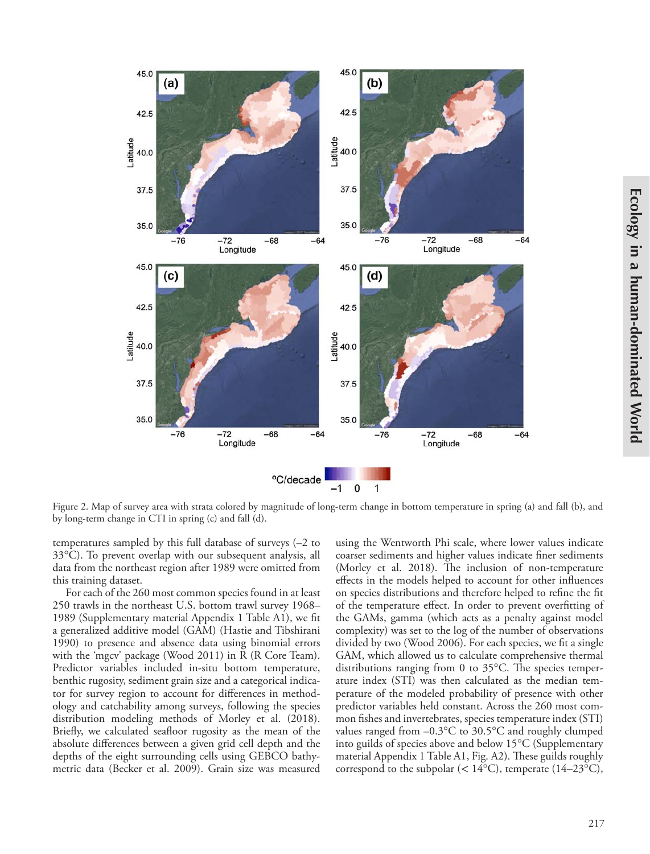

Figure 2. Map of survey area with strata colored by magnitude of long-term change in bottom temperature in spring (a) and fall (b), and by long-term change in CTI in spring (c) and fall (d).

temperatures sampled by this full database of surveys (–2 to 33°C). To prevent overlap with our subsequent analysis, all data from the northeast region after 1989 were omitted from this training dataset.

For each of the 260 most common species found in at least 250 trawls in the northeast U.S. bottom trawl survey 1968– 1989 (Supplementary material Appendix 1 Table A1), we fit a generalized additive model (GAM) (Hastie and Tibshirani 1990) to presence and absence data using binomial errors with the 'mgcv' package (Wood 2011) in R (R Core Team). Predictor variables included in-situ bottom temperature, benthic rugosity, sediment grain size and a categorical indicator for survey region to account for differences in methodology and catchability among surveys, following the species distribution modeling methods of Morley et al. (2018). Briefly, we calculated seafloor rugosity as the mean of the absolute differences between a given grid cell depth and the depths of the eight surrounding cells using GEBCO bathymetric data (Becker et al. 2009). Grain size was measured using the Wentworth Phi scale, where lower values indicate coarser sediments and higher values indicate finer sediments (Morley et al. 2018). The inclusion of non-temperature effects in the models helped to account for other influences on species distributions and therefore helped to refine the fit of the temperature effect. In order to prevent overfitting of the GAMs, gamma (which acts as a penalty against model complexity) was set to the log of the number of observations divided by two (Wood 2006). For each species, we fit a single GAM, which allowed us to calculate comprehensive thermal distributions ranging from 0 to 35°C. The species temperature index (STI) was then calculated as the median temperature of the modeled probability of presence with other predictor variables held constant. Across the 260 most common fishes and invertebrates, species temperature index (STI) values ranged from –0.3°C to 30.5°C and roughly clumped into guilds of species above and below 15°C (Supplementary material Appendix 1 Table A1, Fig. A2). These guilds roughly correspond to the subpolar ( $< 14^{\circ}$ C), temperate ( $14-23^{\circ}$ C),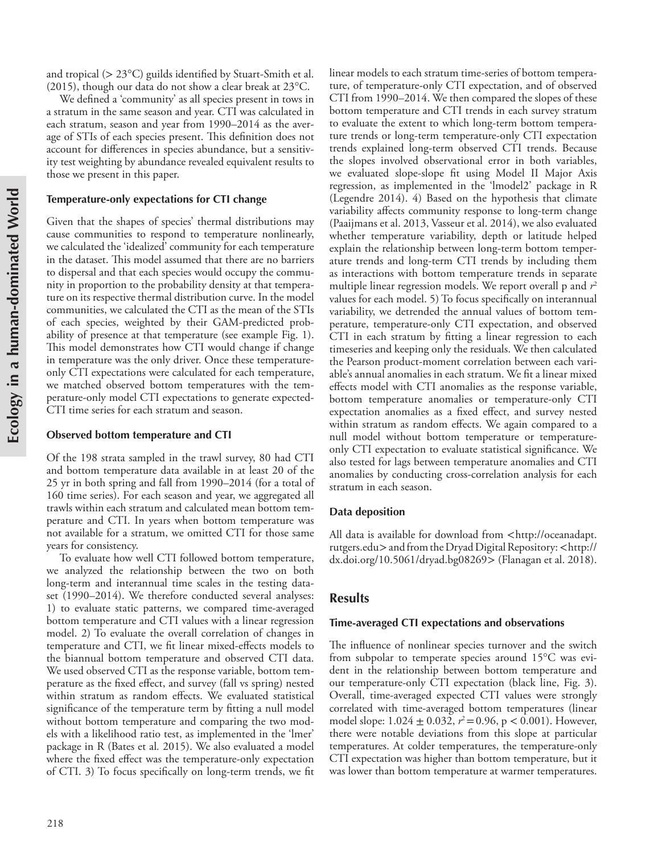and tropical (> 23°C) guilds identified by Stuart-Smith et al. (2015), though our data do not show a clear break at 23°C.

We defined a 'community' as all species present in tows in a stratum in the same season and year. CTI was calculated in each stratum, season and year from 1990–2014 as the average of STIs of each species present. This definition does not account for differences in species abundance, but a sensitivity test weighting by abundance revealed equivalent results to those we present in this paper.

#### **Temperature-only expectations for CTI change**

Given that the shapes of species' thermal distributions may cause communities to respond to temperature nonlinearly, we calculated the 'idealized' community for each temperature in the dataset. This model assumed that there are no barriers to dispersal and that each species would occupy the community in proportion to the probability density at that temperature on its respective thermal distribution curve. In the model communities, we calculated the CTI as the mean of the STIs of each species, weighted by their GAM-predicted probability of presence at that temperature (see example Fig. 1). This model demonstrates how CTI would change if change in temperature was the only driver. Once these temperatureonly CTI expectations were calculated for each temperature, we matched observed bottom temperatures with the temperature-only model CTI expectations to generate expected-CTI time series for each stratum and season.

#### **Observed bottom temperature and CTI**

Of the 198 strata sampled in the trawl survey, 80 had CTI and bottom temperature data available in at least 20 of the 25 yr in both spring and fall from 1990–2014 (for a total of 160 time series). For each season and year, we aggregated all trawls within each stratum and calculated mean bottom temperature and CTI. In years when bottom temperature was not available for a stratum, we omitted CTI for those same years for consistency.

To evaluate how well CTI followed bottom temperature, we analyzed the relationship between the two on both long-term and interannual time scales in the testing dataset (1990–2014). We therefore conducted several analyses: 1) to evaluate static patterns, we compared time-averaged bottom temperature and CTI values with a linear regression model. 2) To evaluate the overall correlation of changes in temperature and CTI, we fit linear mixed-effects models to the biannual bottom temperature and observed CTI data. We used observed CTI as the response variable, bottom temperature as the fixed effect, and survey (fall vs spring) nested within stratum as random effects. We evaluated statistical significance of the temperature term by fitting a null model without bottom temperature and comparing the two models with a likelihood ratio test, as implemented in the 'lmer' package in R (Bates et al*.* 2015). We also evaluated a model where the fixed effect was the temperature-only expectation of CTI. 3) To focus specifically on long-term trends, we fit

linear models to each stratum time-series of bottom temperature, of temperature-only CTI expectation, and of observed CTI from 1990–2014. We then compared the slopes of these bottom temperature and CTI trends in each survey stratum to evaluate the extent to which long-term bottom temperature trends or long-term temperature-only CTI expectation trends explained long-term observed CTI trends. Because the slopes involved observational error in both variables, we evaluated slope-slope fit using Model II Major Axis regression, as implemented in the 'lmodel2' package in R (Legendre 2014). 4) Based on the hypothesis that climate variability affects community response to long-term change (Paaijmans et al. 2013, Vasseur et al. 2014), we also evaluated whether temperature variability, depth or latitude helped explain the relationship between long-term bottom temperature trends and long-term CTI trends by including them as interactions with bottom temperature trends in separate multiple linear regression models. We report overall p and  $r^2$ values for each model. 5) To focus specifically on interannual variability, we detrended the annual values of bottom temperature, temperature-only CTI expectation, and observed CTI in each stratum by fitting a linear regression to each timeseries and keeping only the residuals. We then calculated the Pearson product-moment correlation between each variable's annual anomalies in each stratum. We fit a linear mixed effects model with CTI anomalies as the response variable, bottom temperature anomalies or temperature-only CTI expectation anomalies as a fixed effect, and survey nested within stratum as random effects. We again compared to a null model without bottom temperature or temperatureonly CTI expectation to evaluate statistical significance. We also tested for lags between temperature anomalies and CTI anomalies by conducting cross-correlation analysis for each stratum in each season.

#### **Data deposition**

All data is available for download from <http://oceanadapt. rutgers.edu> and from the Dryad Digital Repository: <http:// dx.doi.org/10.5061/dryad.bg08269> (Flanagan et al. 2018).

### **Results**

#### **Time-averaged CTI expectations and observations**

The influence of nonlinear species turnover and the switch from subpolar to temperate species around 15°C was evident in the relationship between bottom temperature and our temperature-only CTI expectation (black line, Fig. 3). Overall, time-averaged expected CTI values were strongly correlated with time-averaged bottom temperatures (linear model slope:  $1.024 \pm 0.032$ ,  $r^2 = 0.96$ , p < 0.001). However, there were notable deviations from this slope at particular temperatures. At colder temperatures, the temperature-only CTI expectation was higher than bottom temperature, but it was lower than bottom temperature at warmer temperatures.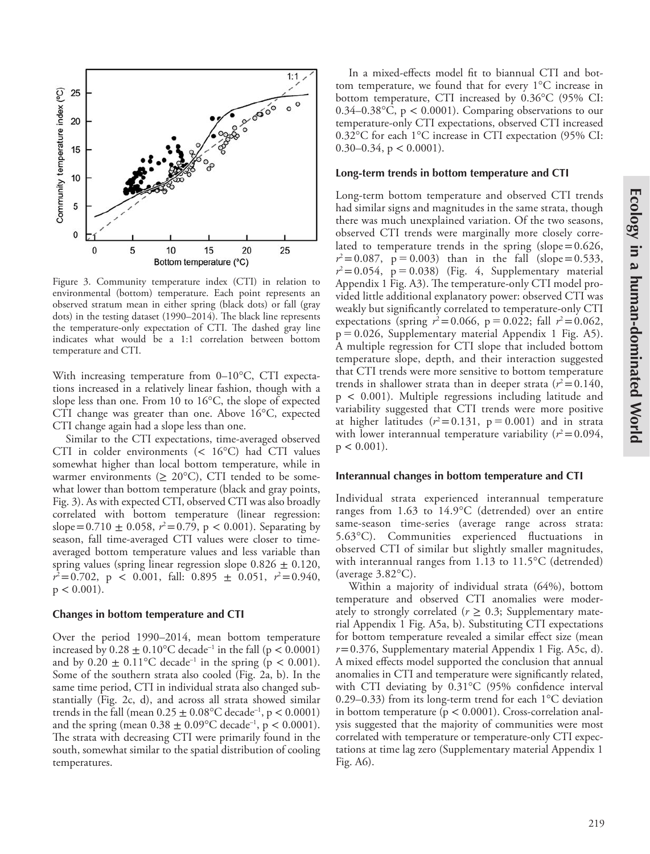

Figure 3. Community temperature index (CTI) in relation to environmental (bottom) temperature. Each point represents an observed stratum mean in either spring (black dots) or fall (gray dots) in the testing dataset (1990–2014). The black line represents the temperature-only expectation of CTI. The dashed gray line indicates what would be a 1:1 correlation between bottom temperature and CTI.

With increasing temperature from 0–10°C, CTI expectations increased in a relatively linear fashion, though with a slope less than one. From 10 to 16°C, the slope of expected CTI change was greater than one. Above 16°C, expected CTI change again had a slope less than one.

Similar to the CTI expectations, time-averaged observed CTI in colder environments (< 16°C) had CTI values somewhat higher than local bottom temperature, while in warmer environments ( $\geq 20^{\circ}$ C), CTI tended to be somewhat lower than bottom temperature (black and gray points, Fig. 3). As with expected CTI, observed CTI was also broadly correlated with bottom temperature (linear regression: slope=0.710  $\pm$  0.058,  $r^2$ =0.79, p < 0.001). Separating by season, fall time-averaged CTI values were closer to timeaveraged bottom temperature values and less variable than spring values (spring linear regression slope  $0.826 \pm 0.120$ ,  $r^2 = 0.702$ , p < 0.001, fall: 0.895  $\pm$  0.051,  $r^2 = 0.940$ ,  $p < 0.001$ ).

#### **Changes in bottom temperature and CTI**

Over the period 1990–2014, mean bottom temperature increased by  $0.28 \pm 0.10^{\circ}$ C decade<sup>-1</sup> in the fall (p < 0.0001) and by  $0.20 \pm 0.11^{\circ}$ C decade<sup>-1</sup> in the spring (p < 0.001). Some of the southern strata also cooled (Fig. 2a, b). In the same time period, CTI in individual strata also changed substantially (Fig. 2c, d), and across all strata showed similar trends in the fall (mean  $0.25 \pm 0.08$ °C decade<sup>-1</sup>, p < 0.0001) and the spring (mean  $0.38 \pm 0.09^{\circ}$ C decade<sup>-1</sup>, p < 0.0001). The strata with decreasing CTI were primarily found in the south, somewhat similar to the spatial distribution of cooling temperatures.

In a mixed-effects model fit to biannual CTI and bottom temperature, we found that for every 1°C increase in bottom temperature, CTI increased by 0.36°C (95% CI: 0.34–0.38 $^{\circ}$ C, p < 0.0001). Comparing observations to our temperature-only CTI expectations, observed CTI increased 0.32°C for each 1°C increase in CTI expectation (95% CI: 0.30–0.34,  $p < 0.0001$ ).

#### **Long-term trends in bottom temperature and CTI**

Long-term bottom temperature and observed CTI trends had similar signs and magnitudes in the same strata, though there was much unexplained variation. Of the two seasons, observed CTI trends were marginally more closely correlated to temperature trends in the spring (slope= $0.626$ ,  $r^2 = 0.087$ ,  $p = 0.003$ ) than in the fall (slope=0.533,  $r^2 = 0.054$ ,  $p = 0.038$ ) (Fig. 4, Supplementary material Appendix 1 Fig. A3). The temperature-only CTI model provided little additional explanatory power: observed CTI was weakly but significantly correlated to temperature-only CTI expectations (spring  $r^2 = 0.066$ , p = 0.022; fall  $r^2 = 0.062$ , p  0.026, Supplementary material Appendix 1 Fig. A5). A multiple regression for CTI slope that included bottom temperature slope, depth, and their interaction suggested that CTI trends were more sensitive to bottom temperature trends in shallower strata than in deeper strata ( $r^2$  = 0.140, p *<* 0.001). Multiple regressions including latitude and variability suggested that CTI trends were more positive at higher latitudes  $(r^2 = 0.131, p = 0.001)$  and in strata with lower interannual temperature variability  $(r^2=0.094,$  $p < 0.001$ ).

#### **Interannual changes in bottom temperature and CTI**

Individual strata experienced interannual temperature ranges from 1.63 to 14.9°C (detrended) over an entire same-season time-series (average range across strata: 5.63°C). Communities experienced fluctuations in observed CTI of similar but slightly smaller magnitudes, with interannual ranges from 1.13 to 11.5°C (detrended) (average 3.82°C).

Within a majority of individual strata (64%), bottom temperature and observed CTI anomalies were moderately to strongly correlated ( $r \geq 0.3$ ; Supplementary material Appendix 1 Fig. A5a, b). Substituting CTI expectations for bottom temperature revealed a similar effect size (mean *r*=0.376, Supplementary material Appendix 1 Fig. A5c, d). A mixed effects model supported the conclusion that annual anomalies in CTI and temperature were significantly related, with CTI deviating by 0.31°C (95% confidence interval 0.29–0.33) from its long-term trend for each 1°C deviation in bottom temperature ( $p < 0.0001$ ). Cross-correlation analysis suggested that the majority of communities were most correlated with temperature or temperature-only CTI expectations at time lag zero (Supplementary material Appendix 1 Fig. A6).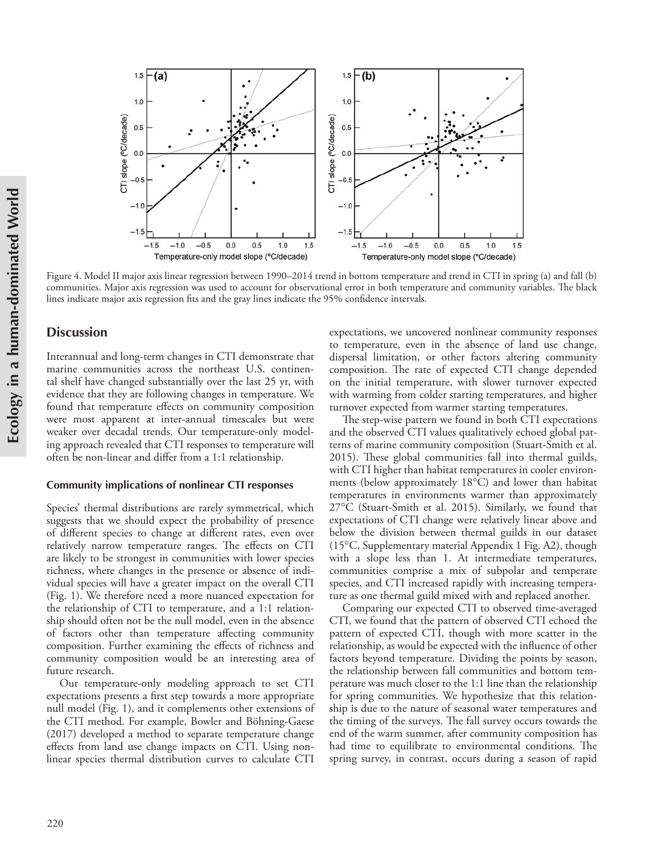

Figure 4. Model II major axis linear regression between 1990–2014 trend in bottom temperature and trend in CTI in spring (a) and fall (b) communities. Major axis regression was used to account for observational error in both temperature and community variables. The black lines indicate major axis regression fits and the gray lines indicate the 95% confidence intervals.

#### **Discussion**

Interannual and long-term changes in CTI demonstrate that marine communities across the northeast U.S. continental shelf have changed substantially over the last 25 yr, with evidence that they are following changes in temperature. We found that temperature effects on community composition were most apparent at inter-annual timescales but were weaker over decadal trends. Our temperature-only modeling approach revealed that CTI responses to temperature will often be non-linear and differ from a 1:1 relationship.

#### **Community implications of nonlinear CTI responses**

Species' thermal distributions are rarely symmetrical, which suggests that we should expect the probability of presence of different species to change at different rates, even over relatively narrow temperature ranges. The effects on CTI are likely to be strongest in communities with lower species richness, where changes in the presence or absence of individual species will have a greater impact on the overall CTI (Fig. 1). We therefore need a more nuanced expectation for the relationship of CTI to temperature, and a 1:1 relationship should often not be the null model, even in the absence of factors other than temperature affecting community composition. Further examining the effects of richness and community composition would be an interesting area of future research.

Our temperature-only modeling approach to set CTI expectations presents a first step towards a more appropriate null model (Fig. 1), and it complements other extensions of the CTI method. For example, Bowler and Böhning-Gaese (2017) developed a method to separate temperature change effects from land use change impacts on CTI. Using nonlinear species thermal distribution curves to calculate CTI

expectations, we uncovered nonlinear community responses to temperature, even in the absence of land use change, dispersal limitation, or other factors altering community composition. The rate of expected CTI change depended on the initial temperature, with slower turnover expected with warming from colder starting temperatures, and higher turnover expected from warmer starting temperatures.

The step-wise pattern we found in both CTI expectations and the observed CTI values qualitatively echoed global patterns of marine community composition (Stuart-Smith et al. 2015). These global communities fall into thermal guilds, with CTI higher than habitat temperatures in cooler environments (below approximately 18°C) and lower than habitat temperatures in environments warmer than approximately 27°C (Stuart-Smith et al. 2015). Similarly, we found that expectations of CTI change were relatively linear above and below the division between thermal guilds in our dataset (15°C, Supplementary material Appendix 1 Fig. A2), though with a slope less than 1. At intermediate temperatures, communities comprise a mix of subpolar and temperate species, and CTI increased rapidly with increasing temperature as one thermal guild mixed with and replaced another.

Comparing our expected CTI to observed time-averaged CTI, we found that the pattern of observed CTI echoed the pattern of expected CTI, though with more scatter in the relationship, as would be expected with the influence of other factors beyond temperature. Dividing the points by season, the relationship between fall communities and bottom temperature was much closer to the 1:1 line than the relationship for spring communities. We hypothesize that this relationship is due to the nature of seasonal water temperatures and the timing of the surveys. The fall survey occurs towards the end of the warm summer, after community composition has had time to equilibrate to environmental conditions. The spring survey, in contrast, occurs during a season of rapid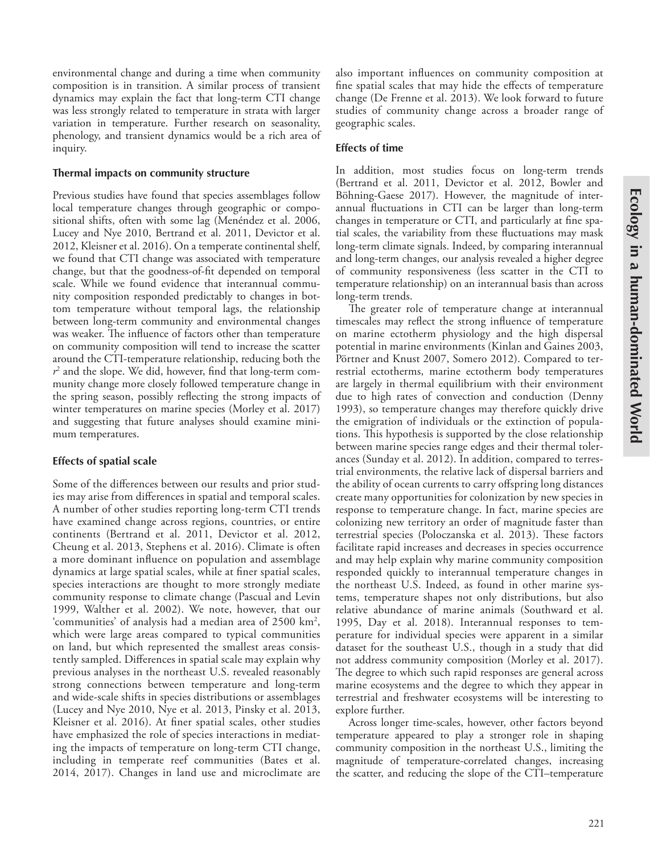environmental change and during a time when community composition is in transition. A similar process of transient dynamics may explain the fact that long-term CTI change was less strongly related to temperature in strata with larger variation in temperature. Further research on seasonality, phenology, and transient dynamics would be a rich area of inquiry.

#### **Thermal impacts on community structure**

Previous studies have found that species assemblages follow local temperature changes through geographic or compositional shifts, often with some lag (Menéndez et al. 2006, Lucey and Nye 2010, Bertrand et al. 2011, Devictor et al. 2012, Kleisner et al. 2016). On a temperate continental shelf, we found that CTI change was associated with temperature change, but that the goodness-of-fit depended on temporal scale. While we found evidence that interannual community composition responded predictably to changes in bottom temperature without temporal lags, the relationship between long-term community and environmental changes was weaker. The influence of factors other than temperature on community composition will tend to increase the scatter around the CTI-temperature relationship, reducing both the  $r^2$  and the slope. We did, however, find that long-term community change more closely followed temperature change in the spring season, possibly reflecting the strong impacts of winter temperatures on marine species (Morley et al. 2017) and suggesting that future analyses should examine minimum temperatures.

#### **Effects of spatial scale**

Some of the differences between our results and prior studies may arise from differences in spatial and temporal scales. A number of other studies reporting long-term CTI trends have examined change across regions, countries, or entire continents (Bertrand et al. 2011, Devictor et al. 2012, Cheung et al. 2013, Stephens et al. 2016). Climate is often a more dominant influence on population and assemblage dynamics at large spatial scales, while at finer spatial scales, species interactions are thought to more strongly mediate community response to climate change (Pascual and Levin 1999, Walther et al. 2002). We note, however, that our 'communities' of analysis had a median area of 2500 km2 , which were large areas compared to typical communities on land, but which represented the smallest areas consistently sampled. Differences in spatial scale may explain why previous analyses in the northeast U.S. revealed reasonably strong connections between temperature and long-term and wide-scale shifts in species distributions or assemblages (Lucey and Nye 2010, Nye et al. 2013, Pinsky et al. 2013, Kleisner et al. 2016). At finer spatial scales, other studies have emphasized the role of species interactions in mediating the impacts of temperature on long-term CTI change, including in temperate reef communities (Bates et al. 2014, 2017). Changes in land use and microclimate are

also important influences on community composition at fine spatial scales that may hide the effects of temperature change (De Frenne et al. 2013). We look forward to future studies of community change across a broader range of geographic scales.

#### **Effects of time**

In addition, most studies focus on long-term trends (Bertrand et al. 2011, Devictor et al. 2012, Bowler and Böhning-Gaese 2017). However, the magnitude of interannual fluctuations in CTI can be larger than long-term changes in temperature or CTI, and particularly at fine spatial scales, the variability from these fluctuations may mask long-term climate signals. Indeed, by comparing interannual and long-term changes, our analysis revealed a higher degree of community responsiveness (less scatter in the CTI to temperature relationship) on an interannual basis than across long-term trends.

The greater role of temperature change at interannual timescales may reflect the strong influence of temperature on marine ectotherm physiology and the high dispersal potential in marine environments (Kinlan and Gaines 2003, Pörtner and Knust 2007, Somero 2012). Compared to terrestrial ectotherms, marine ectotherm body temperatures are largely in thermal equilibrium with their environment due to high rates of convection and conduction (Denny 1993), so temperature changes may therefore quickly drive the emigration of individuals or the extinction of populations. This hypothesis is supported by the close relationship between marine species range edges and their thermal tolerances (Sunday et al. 2012). In addition, compared to terrestrial environments, the relative lack of dispersal barriers and the ability of ocean currents to carry offspring long distances create many opportunities for colonization by new species in response to temperature change. In fact, marine species are colonizing new territory an order of magnitude faster than terrestrial species (Poloczanska et al. 2013). These factors facilitate rapid increases and decreases in species occurrence and may help explain why marine community composition responded quickly to interannual temperature changes in the northeast U.S. Indeed, as found in other marine systems, temperature shapes not only distributions, but also relative abundance of marine animals (Southward et al. 1995, Day et al. 2018). Interannual responses to temperature for individual species were apparent in a similar dataset for the southeast U.S., though in a study that did not address community composition (Morley et al. 2017). The degree to which such rapid responses are general across marine ecosystems and the degree to which they appear in terrestrial and freshwater ecosystems will be interesting to explore further.

Across longer time-scales, however, other factors beyond temperature appeared to play a stronger role in shaping community composition in the northeast U.S., limiting the magnitude of temperature-correlated changes, increasing the scatter, and reducing the slope of the CTI–temperature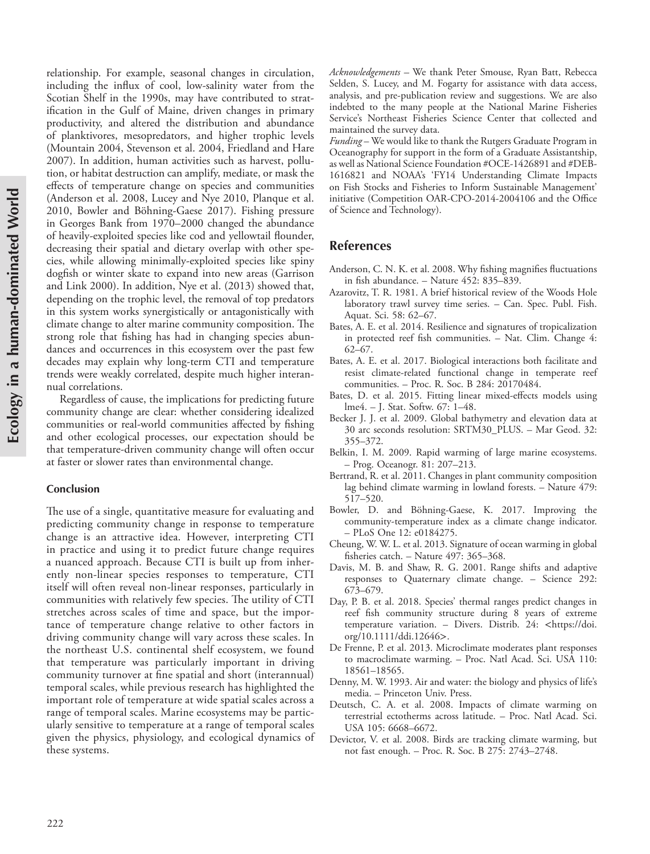relationship. For example, seasonal changes in circulation, including the influx of cool, low-salinity water from the Scotian Shelf in the 1990s, may have contributed to stratification in the Gulf of Maine, driven changes in primary productivity, and altered the distribution and abundance of planktivores, mesopredators, and higher trophic levels (Mountain 2004, Stevenson et al. 2004, Friedland and Hare 2007). In addition, human activities such as harvest, pollution, or habitat destruction can amplify, mediate, or mask the effects of temperature change on species and communities (Anderson et al. 2008, Lucey and Nye 2010, Planque et al. 2010, Bowler and Böhning-Gaese 2017). Fishing pressure in Georges Bank from 1970–2000 changed the abundance of heavily-exploited species like cod and yellowtail flounder, decreasing their spatial and dietary overlap with other species, while allowing minimally-exploited species like spiny dogfish or winter skate to expand into new areas (Garrison and Link 2000). In addition, Nye et al. (2013) showed that, depending on the trophic level, the removal of top predators in this system works synergistically or antagonistically with climate change to alter marine community composition. The strong role that fishing has had in changing species abundances and occurrences in this ecosystem over the past few decades may explain why long-term CTI and temperature trends were weakly correlated, despite much higher interannual correlations.

Regardless of cause, the implications for predicting future community change are clear: whether considering idealized communities or real-world communities affected by fishing and other ecological processes, our expectation should be that temperature-driven community change will often occur at faster or slower rates than environmental change.

#### **Conclusion**

The use of a single, quantitative measure for evaluating and predicting community change in response to temperature change is an attractive idea. However, interpreting CTI in practice and using it to predict future change requires a nuanced approach. Because CTI is built up from inherently non-linear species responses to temperature, CTI itself will often reveal non-linear responses, particularly in communities with relatively few species. The utility of CTI stretches across scales of time and space, but the importance of temperature change relative to other factors in driving community change will vary across these scales. In the northeast U.S. continental shelf ecosystem, we found that temperature was particularly important in driving community turnover at fine spatial and short (interannual) temporal scales, while previous research has highlighted the important role of temperature at wide spatial scales across a range of temporal scales. Marine ecosystems may be particularly sensitive to temperature at a range of temporal scales given the physics, physiology, and ecological dynamics of these systems.

*Acknowledgements –* We thank Peter Smouse, Ryan Batt, Rebecca Selden, S. Lucey, and M. Fogarty for assistance with data access, analysis, and pre-publication review and suggestions. We are also indebted to the many people at the National Marine Fisheries Service's Northeast Fisheries Science Center that collected and maintained the survey data.

*Funding* – We would like to thank the Rutgers Graduate Program in Oceanography for support in the form of a Graduate Assistantship, as well as National Science Foundation #OCE-1426891 and #DEB-1616821 and NOAA's 'FY14 Understanding Climate Impacts on Fish Stocks and Fisheries to Inform Sustainable Management' initiative (Competition OAR-CPO-2014-2004106 and the Office of Science and Technology).

# **References**

- Anderson, C. N. K. et al. 2008. Why fishing magnifies fluctuations in fish abundance. – Nature  $452: 835-839$ .
- Azarovitz, T. R. 1981. A brief historical review of the Woods Hole laboratory trawl survey time series. – Can. Spec. Publ. Fish. Aquat. Sci. 58: 62–67.
- Bates, A. E. et al. 2014. Resilience and signatures of tropicalization in protected reef fish communities. – Nat. Clim. Change 4: 62–67.
- Bates, A. E. et al. 2017. Biological interactions both facilitate and resist climate-related functional change in temperate reef communities. – Proc. R. Soc. B 284: 20170484.
- Bates, D. et al. 2015. Fitting linear mixed-effects models using lme4. – J. Stat. Softw. 67: 1–48.
- Becker J. J. et al. 2009. Global bathymetry and elevation data at 30 arc seconds resolution: SRTM30\_PLUS. – Mar Geod. 32: 355–372.
- Belkin, I. M. 2009. Rapid warming of large marine ecosystems. – Prog. Oceanogr. 81: 207–213.
- Bertrand, R. et al. 2011. Changes in plant community composition lag behind climate warming in lowland forests. – Nature 479: 517–520.
- Bowler, D. and Böhning-Gaese, K. 2017. Improving the community-temperature index as a climate change indicator. – PLoS One 12: e0184275.
- Cheung, W. W. L. et al. 2013. Signature of ocean warming in global fisheries catch. – Nature 497: 365–368.
- Davis, M. B. and Shaw, R. G. 2001. Range shifts and adaptive responses to Quaternary climate change. – Science 292: 673–679.
- Day, P. B. et al. 2018. Species' thermal ranges predict changes in reef fish community structure during 8 years of extreme temperature variation. - Divers. Distrib. 24: <https://doi. org/10.1111/ddi.12646>.
- De Frenne, P. et al. 2013. Microclimate moderates plant responses to macroclimate warming. – Proc. Natl Acad. Sci. USA 110: 18561–18565.
- Denny, M. W. 1993. Air and water: the biology and physics of life's media. – Princeton Univ. Press.
- Deutsch, C. A. et al. 2008. Impacts of climate warming on terrestrial ectotherms across latitude. – Proc. Natl Acad. Sci. USA 105: 6668–6672.
- Devictor, V. et al. 2008. Birds are tracking climate warming, but not fast enough. – Proc. R. Soc. B 275: 2743–2748.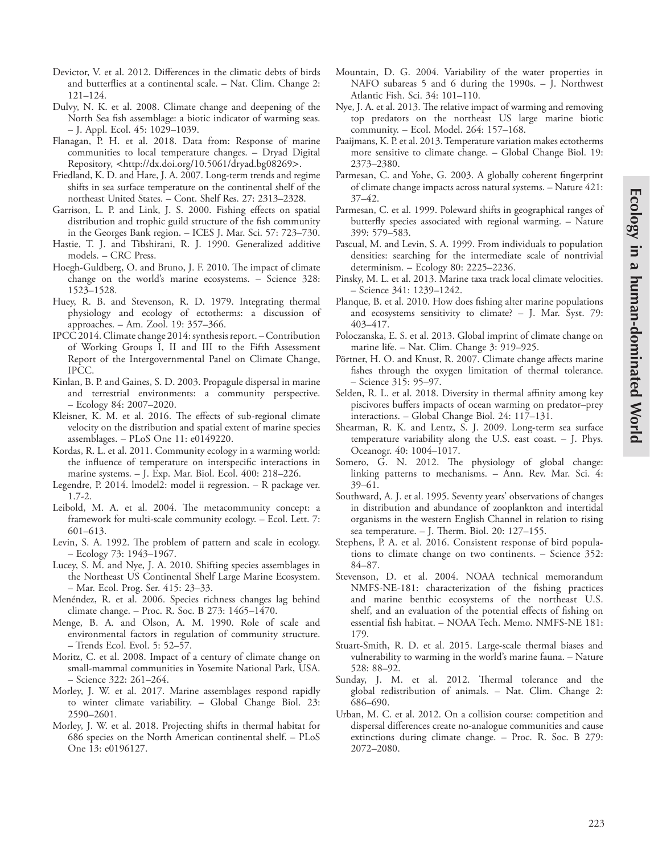- Devictor, V. et al. 2012. Differences in the climatic debts of birds and butterflies at a continental scale. – Nat. Clim. Change 2: 121–124.
- Dulvy, N. K. et al. 2008. Climate change and deepening of the North Sea fish assemblage: a biotic indicator of warming seas. – J. Appl. Ecol. 45: 1029–1039.
- Flanagan, P. H. et al. 2018. Data from: Response of marine communities to local temperature changes. – Dryad Digital Repository, <http://dx.doi.org/10.5061/dryad.bg08269>.
- Friedland, K. D. and Hare, J. A. 2007. Long-term trends and regime shifts in sea surface temperature on the continental shelf of the northeast United States. – Cont. Shelf Res. 27: 2313–2328.
- Garrison, L. P. and Link, J. S. 2000. Fishing effects on spatial distribution and trophic guild structure of the fish community in the Georges Bank region. – ICES J. Mar. Sci. 57: 723–730.
- Hastie, T. J. and Tibshirani, R. J. 1990. Generalized additive models. – CRC Press.
- Hoegh-Guldberg, O. and Bruno, J. F. 2010. The impact of climate change on the world's marine ecosystems. – Science 328: 1523–1528.
- Huey, R. B. and Stevenson, R. D. 1979. Integrating thermal physiology and ecology of ectotherms: a discussion of approaches. – Am. Zool. 19: 357–366.
- IPCC 2014. Climate change 2014: synthesis report. Contribution of Working Groups I, II and III to the Fifth Assessment Report of the Intergovernmental Panel on Climate Change, IPCC.
- Kinlan, B. P. and Gaines, S. D. 2003. Propagule dispersal in marine and terrestrial environments: a community perspective. – Ecology 84: 2007–2020.
- Kleisner, K. M. et al. 2016. The effects of sub-regional climate velocity on the distribution and spatial extent of marine species assemblages. – PLoS One 11: e0149220.
- Kordas, R. L. et al. 2011. Community ecology in a warming world: the influence of temperature on interspecific interactions in marine systems. – J. Exp. Mar. Biol. Ecol. 400: 218–226.
- Legendre, P. 2014. lmodel2: model ii regression. R package ver. 1.7-2.
- Leibold, M. A. et al. 2004. The metacommunity concept: a framework for multi-scale community ecology. – Ecol. Lett. 7: 601–613.
- Levin, S. A. 1992. The problem of pattern and scale in ecology. – Ecology 73: 1943–1967.
- Lucey, S. M. and Nye, J. A. 2010. Shifting species assemblages in the Northeast US Continental Shelf Large Marine Ecosystem. – Mar. Ecol. Prog. Ser. 415: 23–33.
- Menéndez, R. et al. 2006. Species richness changes lag behind climate change. – Proc. R. Soc. B 273: 1465–1470.
- Menge, B. A. and Olson, A. M. 1990. Role of scale and environmental factors in regulation of community structure. – Trends Ecol. Evol. 5: 52–57.
- Moritz, C. et al. 2008. Impact of a century of climate change on small-mammal communities in Yosemite National Park, USA. – Science 322: 261–264.
- Morley, J. W. et al. 2017. Marine assemblages respond rapidly to winter climate variability. – Global Change Biol. 23: 2590–2601.
- Morley, J. W. et al. 2018. Projecting shifts in thermal habitat for 686 species on the North American continental shelf. – PLoS One 13: e0196127.
- Mountain, D. G. 2004. Variability of the water properties in NAFO subareas 5 and 6 during the 1990s. - J. Northwest Atlantic Fish. Sci. 34: 101–110.
- Nye, J. A. et al. 2013. The relative impact of warming and removing top predators on the northeast US large marine biotic community. – Ecol. Model. 264: 157–168.
- Paaijmans, K. P. et al. 2013. Temperature variation makes ectotherms more sensitive to climate change. – Global Change Biol. 19: 2373–2380.
- Parmesan, C. and Yohe, G. 2003. A globally coherent fingerprint of climate change impacts across natural systems. – Nature 421: 37–42.
- Parmesan, C. et al. 1999. Poleward shifts in geographical ranges of butterfly species associated with regional warming. – Nature 399: 579–583.
- Pascual, M. and Levin, S. A. 1999. From individuals to population densities: searching for the intermediate scale of nontrivial determinism. – Ecology 80: 2225–2236.
- Pinsky, M. L. et al. 2013. Marine taxa track local climate velocities. – Science 341: 1239–1242.
- Planque, B. et al. 2010. How does fishing alter marine populations and ecosystems sensitivity to climate? – J. Mar. Syst. 79: 403–417.
- Poloczanska, E. S. et al. 2013. Global imprint of climate change on marine life. – Nat. Clim. Change 3: 919–925.
- Pörtner, H. O. and Knust, R. 2007. Climate change affects marine fishes through the oxygen limitation of thermal tolerance. – Science 315: 95–97.
- Selden, R. L. et al. 2018. Diversity in thermal affinity among key piscivores buffers impacts of ocean warming on predator–prey interactions. – Global Change Biol. 24: 117–131.
- Shearman, R. K. and Lentz, S. J. 2009. Long-term sea surface temperature variability along the U.S. east coast. – J. Phys. Oceanogr. 40: 1004–1017.
- Somero, G. N. 2012. The physiology of global change: linking patterns to mechanisms. – Ann. Rev. Mar. Sci. 4: 39–61.
- Southward, A. J. et al. 1995. Seventy years' observations of changes in distribution and abundance of zooplankton and intertidal organisms in the western English Channel in relation to rising sea temperature. – J. Therm. Biol. 20: 127–155.
- Stephens, P. A. et al. 2016. Consistent response of bird populations to climate change on two continents. – Science 352: 84–87.
- Stevenson, D. et al. 2004. NOAA technical memorandum NMFS-NE-181: characterization of the fishing practices and marine benthic ecosystems of the northeast U.S. shelf, and an evaluation of the potential effects of fishing on essential fish habitat. – NOAA Tech. Memo. NMFS-NE 181: 179.
- Stuart-Smith, R. D. et al. 2015. Large-scale thermal biases and vulnerability to warming in the world's marine fauna. – Nature 528: 88–92.
- Sunday, J. M. et al. 2012. Thermal tolerance and the global redistribution of animals. – Nat. Clim. Change 2: 686–690.
- Urban, M. C. et al. 2012. On a collision course: competition and dispersal differences create no-analogue communities and cause extinctions during climate change. – Proc. R. Soc. B 279: 2072–2080.